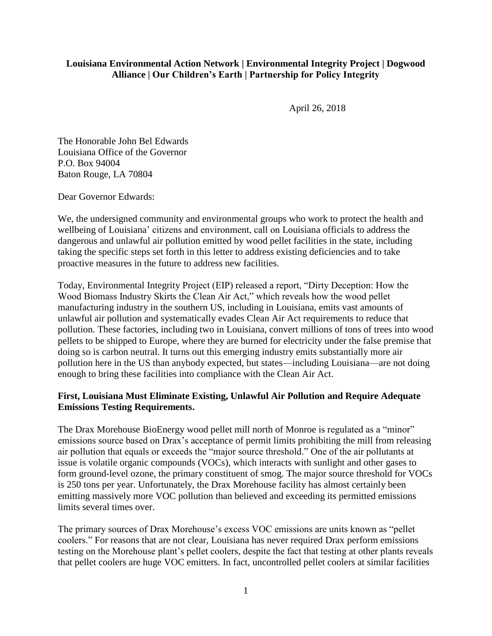## **Louisiana Environmental Action Network | Environmental Integrity Project | Dogwood Alliance | Our Children's Earth | Partnership for Policy Integrity**

April 26, 2018

The Honorable John Bel Edwards Louisiana Office of the Governor P.O. Box 94004 Baton Rouge, LA 70804

Dear Governor Edwards:

We, the undersigned community and environmental groups who work to protect the health and wellbeing of Louisiana' citizens and environment, call on Louisiana officials to address the dangerous and unlawful air pollution emitted by wood pellet facilities in the state, including taking the specific steps set forth in this letter to address existing deficiencies and to take proactive measures in the future to address new facilities.

Today, Environmental Integrity Project (EIP) released a report, "Dirty Deception: How the Wood Biomass Industry Skirts the Clean Air Act," which reveals how the wood pellet manufacturing industry in the southern US, including in Louisiana, emits vast amounts of unlawful air pollution and systematically evades Clean Air Act requirements to reduce that pollution. These factories, including two in Louisiana, convert millions of tons of trees into wood pellets to be shipped to Europe, where they are burned for electricity under the false premise that doing so is carbon neutral. It turns out this emerging industry emits substantially more air pollution here in the US than anybody expected, but states—including Louisiana—are not doing enough to bring these facilities into compliance with the Clean Air Act.

## **First, Louisiana Must Eliminate Existing, Unlawful Air Pollution and Require Adequate Emissions Testing Requirements.**

The Drax Morehouse BioEnergy wood pellet mill north of Monroe is regulated as a "minor" emissions source based on Drax's acceptance of permit limits prohibiting the mill from releasing air pollution that equals or exceeds the "major source threshold." One of the air pollutants at issue is volatile organic compounds (VOCs), which interacts with sunlight and other gases to form ground-level ozone, the primary constituent of smog. The major source threshold for VOCs is 250 tons per year. Unfortunately, the Drax Morehouse facility has almost certainly been emitting massively more VOC pollution than believed and exceeding its permitted emissions limits several times over.

The primary sources of Drax Morehouse's excess VOC emissions are units known as "pellet coolers." For reasons that are not clear, Louisiana has never required Drax perform emissions testing on the Morehouse plant's pellet coolers, despite the fact that testing at other plants reveals that pellet coolers are huge VOC emitters. In fact, uncontrolled pellet coolers at similar facilities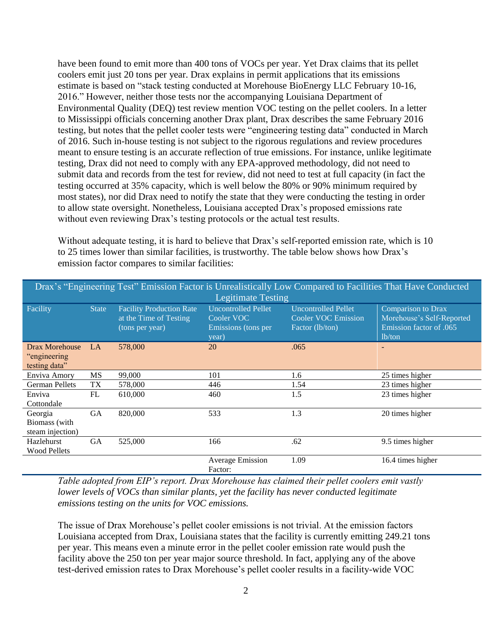have been found to emit more than 400 tons of VOCs per year. Yet Drax claims that its pellet coolers emit just 20 tons per year. Drax explains in permit applications that its emissions estimate is based on "stack testing conducted at Morehouse BioEnergy LLC February 10-16, 2016." However, neither those tests nor the accompanying Louisiana Department of Environmental Quality (DEQ) test review mention VOC testing on the pellet coolers. In a letter to Mississippi officials concerning another Drax plant, Drax describes the same February 2016 testing, but notes that the pellet cooler tests were "engineering testing data" conducted in March of 2016. Such in-house testing is not subject to the rigorous regulations and review procedures meant to ensure testing is an accurate reflection of true emissions. For instance, unlike legitimate testing, Drax did not need to comply with any EPA-approved methodology, did not need to submit data and records from the test for review, did not need to test at full capacity (in fact the testing occurred at 35% capacity, which is well below the 80% or 90% minimum required by most states), nor did Drax need to notify the state that they were conducting the testing in order to allow state oversight. Nonetheless, Louisiana accepted Drax's proposed emissions rate without even reviewing Drax's testing protocols or the actual test results.

Without adequate testing, it is hard to believe that Drax's self-reported emission rate, which is 10 to 25 times lower than similar facilities, is trustworthy. The table below shows how Drax's emission factor compares to similar facilities:

| Drax's "Engineering Test" Emission Factor is Unrealistically Low Compared to Facilities That Have Conducted<br><b>Legitimate Testing</b> |              |                                                                              |                                                                          |                                                                             |                                                                                      |
|------------------------------------------------------------------------------------------------------------------------------------------|--------------|------------------------------------------------------------------------------|--------------------------------------------------------------------------|-----------------------------------------------------------------------------|--------------------------------------------------------------------------------------|
| Facility                                                                                                                                 | <b>State</b> | <b>Facility Production Rate</b><br>at the Time of Testing<br>(tons per year) | <b>Uncontrolled Pellet</b><br>Cooler VOC<br>Emissions (tons per<br>year) | <b>Uncontrolled Pellet</b><br><b>Cooler VOC Emission</b><br>Factor (lb/ton) | Comparison to Drax<br>Morehouse's Self-Reported<br>Emission factor of .065<br>lb/ton |
| Drax Morehouse<br>"engineering"<br>testing data"                                                                                         | LA           | 578,000                                                                      | 20                                                                       | .065                                                                        |                                                                                      |
| Enviva Amory                                                                                                                             | MS           | 99,000                                                                       | 101                                                                      | 1.6                                                                         | 25 times higher                                                                      |
| <b>German Pellets</b>                                                                                                                    | TX           | 578,000                                                                      | 446                                                                      | 1.54                                                                        | 23 times higher                                                                      |
| Enviva<br>Cottondale                                                                                                                     | FL           | 610,000                                                                      | 460                                                                      | 1.5                                                                         | 23 times higher                                                                      |
| Georgia<br>Biomass (with<br>steam injection)                                                                                             | <b>GA</b>    | 820,000                                                                      | 533                                                                      | 1.3                                                                         | 20 times higher                                                                      |
| <b>Hazlehurst</b><br><b>Wood Pellets</b>                                                                                                 | GA           | 525,000                                                                      | 166                                                                      | .62                                                                         | 9.5 times higher                                                                     |
|                                                                                                                                          |              |                                                                              | <b>Average Emission</b><br>Factor:                                       | 1.09                                                                        | 16.4 times higher                                                                    |

*Table adopted from EIP's report. Drax Morehouse has claimed their pellet coolers emit vastly lower levels of VOCs than similar plants, yet the facility has never conducted legitimate emissions testing on the units for VOC emissions.*

The issue of Drax Morehouse's pellet cooler emissions is not trivial. At the emission factors Louisiana accepted from Drax, Louisiana states that the facility is currently emitting 249.21 tons per year. This means even a minute error in the pellet cooler emission rate would push the facility above the 250 ton per year major source threshold. In fact, applying any of the above test-derived emission rates to Drax Morehouse's pellet cooler results in a facility-wide VOC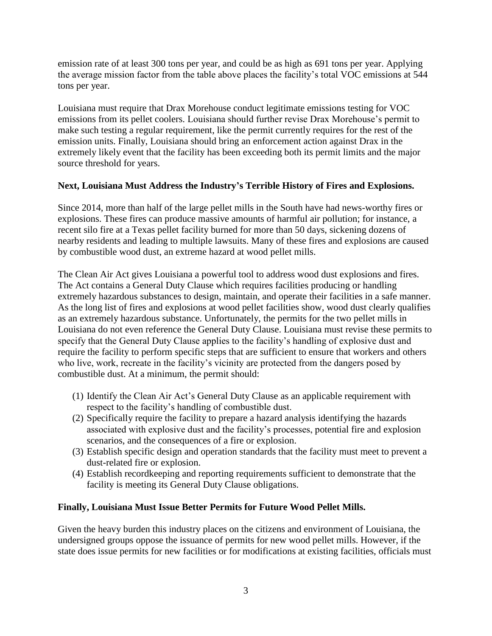emission rate of at least 300 tons per year, and could be as high as 691 tons per year. Applying the average mission factor from the table above places the facility's total VOC emissions at 544 tons per year.

Louisiana must require that Drax Morehouse conduct legitimate emissions testing for VOC emissions from its pellet coolers. Louisiana should further revise Drax Morehouse's permit to make such testing a regular requirement, like the permit currently requires for the rest of the emission units. Finally, Louisiana should bring an enforcement action against Drax in the extremely likely event that the facility has been exceeding both its permit limits and the major source threshold for years.

## **Next, Louisiana Must Address the Industry's Terrible History of Fires and Explosions.**

Since 2014, more than half of the large pellet mills in the South have had news-worthy fires or explosions. These fires can produce massive amounts of harmful air pollution; for instance, a recent silo fire at a Texas pellet facility burned for more than 50 days, sickening dozens of nearby residents and leading to multiple lawsuits. Many of these fires and explosions are caused by combustible wood dust, an extreme hazard at wood pellet mills.

The Clean Air Act gives Louisiana a powerful tool to address wood dust explosions and fires. The Act contains a General Duty Clause which requires facilities producing or handling extremely hazardous substances to design, maintain, and operate their facilities in a safe manner. As the long list of fires and explosions at wood pellet facilities show, wood dust clearly qualifies as an extremely hazardous substance. Unfortunately, the permits for the two pellet mills in Louisiana do not even reference the General Duty Clause. Louisiana must revise these permits to specify that the General Duty Clause applies to the facility's handling of explosive dust and require the facility to perform specific steps that are sufficient to ensure that workers and others who live, work, recreate in the facility's vicinity are protected from the dangers posed by combustible dust. At a minimum, the permit should:

- (1) Identify the Clean Air Act's General Duty Clause as an applicable requirement with respect to the facility's handling of combustible dust.
- (2) Specifically require the facility to prepare a hazard analysis identifying the hazards associated with explosive dust and the facility's processes, potential fire and explosion scenarios, and the consequences of a fire or explosion.
- (3) Establish specific design and operation standards that the facility must meet to prevent a dust-related fire or explosion.
- (4) Establish recordkeeping and reporting requirements sufficient to demonstrate that the facility is meeting its General Duty Clause obligations.

## **Finally, Louisiana Must Issue Better Permits for Future Wood Pellet Mills.**

Given the heavy burden this industry places on the citizens and environment of Louisiana, the undersigned groups oppose the issuance of permits for new wood pellet mills. However, if the state does issue permits for new facilities or for modifications at existing facilities, officials must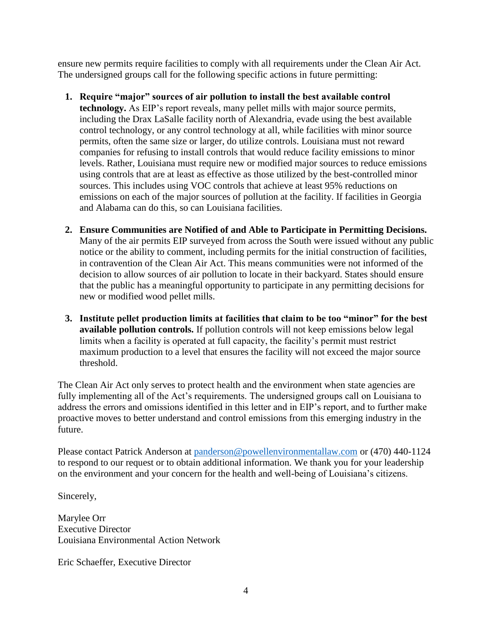ensure new permits require facilities to comply with all requirements under the Clean Air Act. The undersigned groups call for the following specific actions in future permitting:

- **1. Require "major" sources of air pollution to install the best available control technology.** As EIP's report reveals, many pellet mills with major source permits, including the Drax LaSalle facility north of Alexandria, evade using the best available control technology, or any control technology at all, while facilities with minor source permits, often the same size or larger, do utilize controls. Louisiana must not reward companies for refusing to install controls that would reduce facility emissions to minor levels. Rather, Louisiana must require new or modified major sources to reduce emissions using controls that are at least as effective as those utilized by the best-controlled minor sources. This includes using VOC controls that achieve at least 95% reductions on emissions on each of the major sources of pollution at the facility. If facilities in Georgia and Alabama can do this, so can Louisiana facilities.
- **2. Ensure Communities are Notified of and Able to Participate in Permitting Decisions.**  Many of the air permits EIP surveyed from across the South were issued without any public notice or the ability to comment, including permits for the initial construction of facilities, in contravention of the Clean Air Act. This means communities were not informed of the decision to allow sources of air pollution to locate in their backyard. States should ensure that the public has a meaningful opportunity to participate in any permitting decisions for new or modified wood pellet mills.
- **3. Institute pellet production limits at facilities that claim to be too "minor" for the best available pollution controls.** If pollution controls will not keep emissions below legal limits when a facility is operated at full capacity, the facility's permit must restrict maximum production to a level that ensures the facility will not exceed the major source threshold.

The Clean Air Act only serves to protect health and the environment when state agencies are fully implementing all of the Act's requirements. The undersigned groups call on Louisiana to address the errors and omissions identified in this letter and in EIP's report, and to further make proactive moves to better understand and control emissions from this emerging industry in the future.

Please contact Patrick Anderson at [panderson@powellenvironmentallaw.com](mailto:panderson@powellenvironmentallaw.com) or (470) 440-1124 to respond to our request or to obtain additional information. We thank you for your leadership on the environment and your concern for the health and well-being of Louisiana's citizens.

Sincerely,

Marylee Orr Executive Director Louisiana Environmental Action Network

Eric Schaeffer, Executive Director